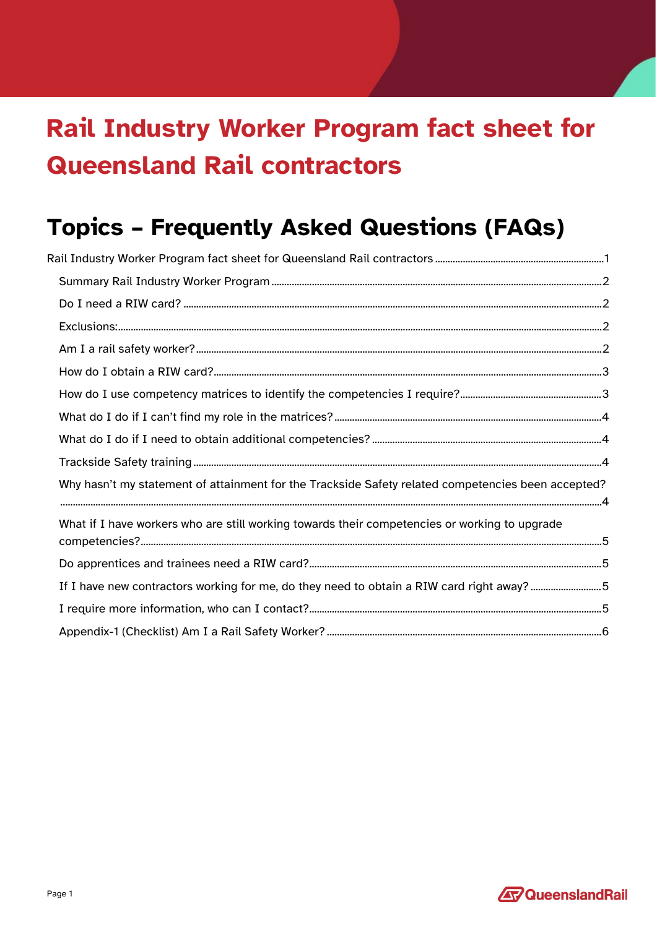# <span id="page-0-0"></span>Rail Industry Worker Program fact sheet for **Queensland Rail contractors**

## **Topics - Frequently Asked Questions (FAQs)**

| Rail Industry Worker Program fact sheet for Queensland Rail contractors ………………………………………………………………1  |  |
|----------------------------------------------------------------------------------------------------|--|
|                                                                                                    |  |
|                                                                                                    |  |
|                                                                                                    |  |
|                                                                                                    |  |
|                                                                                                    |  |
|                                                                                                    |  |
|                                                                                                    |  |
|                                                                                                    |  |
|                                                                                                    |  |
| Why hasn't my statement of attainment for the Trackside Safety related competencies been accepted? |  |
| What if I have workers who are still working towards their competencies or working to upgrade      |  |
|                                                                                                    |  |
| If I have new contractors working for me, do they need to obtain a RIW card right away? 5          |  |
|                                                                                                    |  |
|                                                                                                    |  |
|                                                                                                    |  |

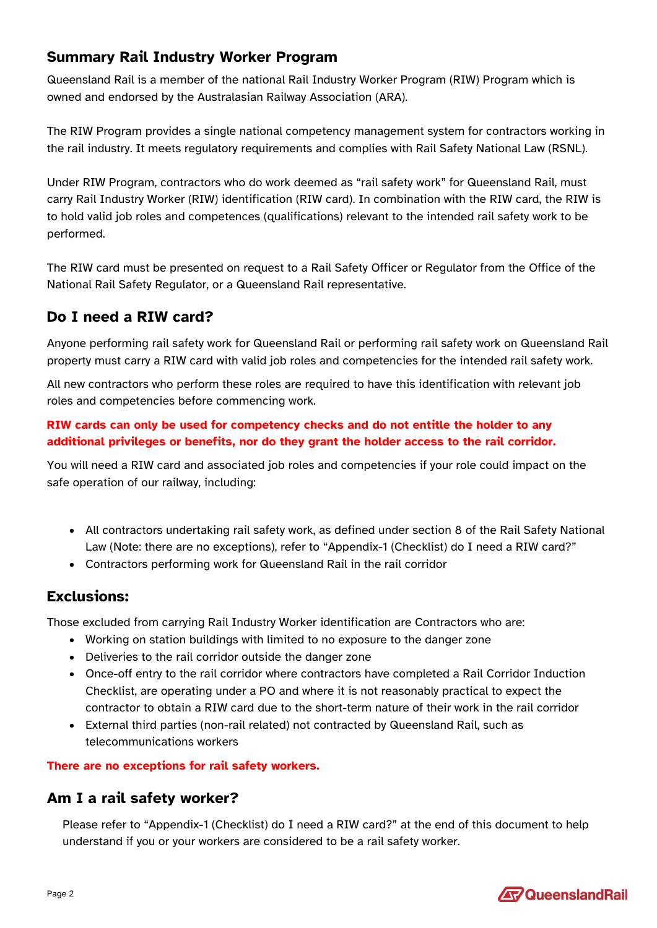#### <span id="page-1-0"></span>**Summary Rail Industry Worker Program**

Queensland Rail is a member of the national Rail Industry Worker Program (RIW) Program which is owned and endorsed by the Australasian Railway Association (ARA).

The RIW Program provides a single national competency management system for contractors working in the rail industry. It meets regulatory requirements and complies with Rail Safety National Law (RSNL).

Under RIW Program, contractors who do work deemed as "rail safety work" for Queensland Rail, must carry Rail Industry Worker (RIW) identification (RIW card). In combination with the RIW card, the RIW is to hold valid job roles and competences (qualifications) relevant to the intended rail safety work to be performed.

The RIW card must be presented on request to a Rail Safety Officer or Regulator from the Office of the National Rail Safety Regulator, or a Queensland Rail representative.

#### <span id="page-1-1"></span>**Do I need a RIW card?**

Anyone performing rail safety work for Queensland Rail or performing rail safety work on Queensland Rail property must carry a RIW card with valid job roles and competencies for the intended rail safety work.

All new contractors who perform these roles are required to have this identification with relevant job roles and competencies before commencing work.

#### **RIW cards can only be used for competency checks and do not entitle the holder to any additional privileges or benefits, nor do they grant the holder access to the rail corridor.**

You will need a RIW card and associated job roles and competencies if your role could impact on the safe operation of our railway, including:

- All contractors undertaking rail safety work, as defined under section 8 of the Rail Safety National Law (Note: there are no exceptions), refer to "Appendix-1 (Checklist) do I need a RIW card?"
- Contractors performing work for Queensland Rail in the rail corridor

#### <span id="page-1-2"></span>**Exclusions:**

Those excluded from carrying Rail Industry Worker identification are Contractors who are:

- Working on station buildings with limited to no exposure to the danger zone
- Deliveries to the rail corridor outside the danger zone
- Once-off entry to the rail corridor where contractors have completed a Rail Corridor Induction Checklist, are operating under a PO and where it is not reasonably practical to expect the contractor to obtain a RIW card due to the short-term nature of their work in the rail corridor
- External third parties (non-rail related) not contracted by Queensland Rail, such as telecommunications workers

#### **There are no exceptions for rail safety workers.**

#### <span id="page-1-3"></span>**Am I a rail safety worker?**

Please refer to "Appendix-1 (Checklist) do I need a RIW card?" at the end of this document to help understand if you or your workers are considered to be a rail safety worker.

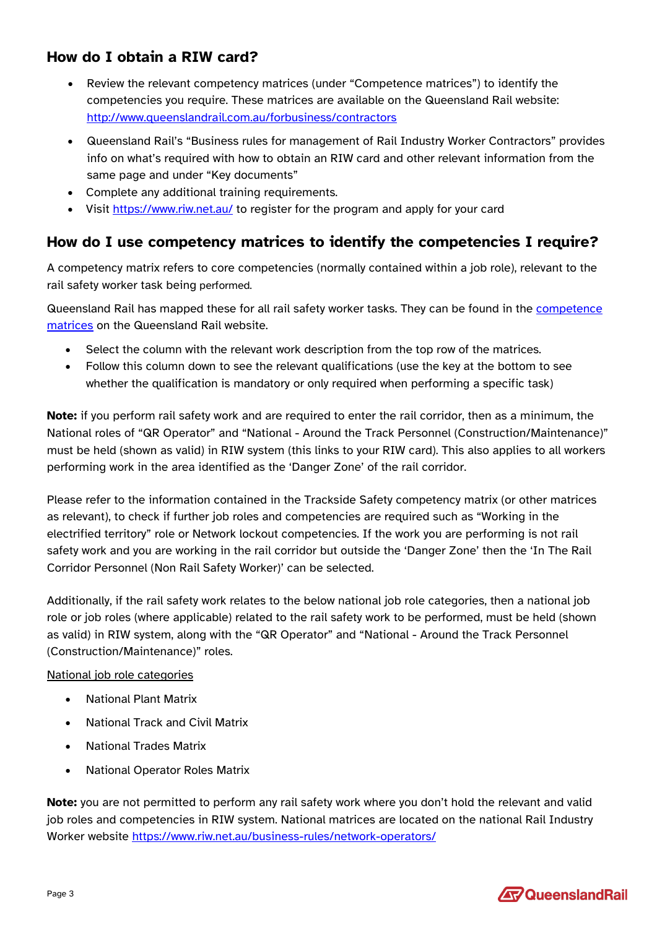#### <span id="page-2-0"></span>**How do I obtain a RIW card?**

- Review the relevant competency matrices (under "Competence matrices") to identify the competencies you require. These matrices are available on the Queensland Rail website: <http://www.queenslandrail.com.au/forbusiness/contractors>
- Queensland Rail's "Business rules for management of Rail Industry Worker Contractors" provides info on what's required with how to obtain an RIW card and other relevant information from the same page and under "Key documents"
- Complete any additional training requirements.
- Visit<https://www.riw.net.au/> to register for the program and apply for your card

#### <span id="page-2-1"></span>**How do I use competency matrices to identify the competencies I require?**

A competency matrix refers to core competencies (normally contained within a job role), relevant to the rail safety worker task being performed.

Queensland Rail has mapped these for all rail safety worker tasks. They can be found in the [competence](http://www.queenslandrail.com.au/forbusiness/contractors/railworkers)  [matrices](http://www.queenslandrail.com.au/forbusiness/contractors/railworkers) on the Queensland Rail website.

- Select the column with the relevant work description from the top row of the matrices.
- Follow this column down to see the relevant qualifications (use the key at the bottom to see whether the qualification is mandatory or only required when performing a specific task)

**Note:** if you perform rail safety work and are required to enter the rail corridor, then as a minimum, the National roles of "QR Operator" and "National - Around the Track Personnel (Construction/Maintenance)" must be held (shown as valid) in RIW system (this links to your RIW card). This also applies to all workers performing work in the area identified as the 'Danger Zone' of the rail corridor.

Please refer to the information contained in the Trackside Safety competency matrix (or other matrices as relevant), to check if further job roles and competencies are required such as "Working in the electrified territory" role or Network lockout competencies. If the work you are performing is not rail safety work and you are working in the rail corridor but outside the 'Danger Zone' then the 'In The Rail Corridor Personnel (Non Rail Safety Worker)' can be selected.

Additionally, if the rail safety work relates to the below national job role categories, then a national job role or job roles (where applicable) related to the rail safety work to be performed, must be held (shown as valid) in RIW system, along with the "QR Operator" and "National - Around the Track Personnel (Construction/Maintenance)" roles.

#### National job role categories

- National Plant Matrix
- National Track and Civil Matrix
- National Trades Matrix
- National Operator Roles Matrix

**Note:** you are not permitted to perform any rail safety work where you don't hold the relevant and valid job roles and competencies in RIW system. National matrices are located on the national Rail Industry Worker website<https://www.riw.net.au/business-rules/network-operators/>

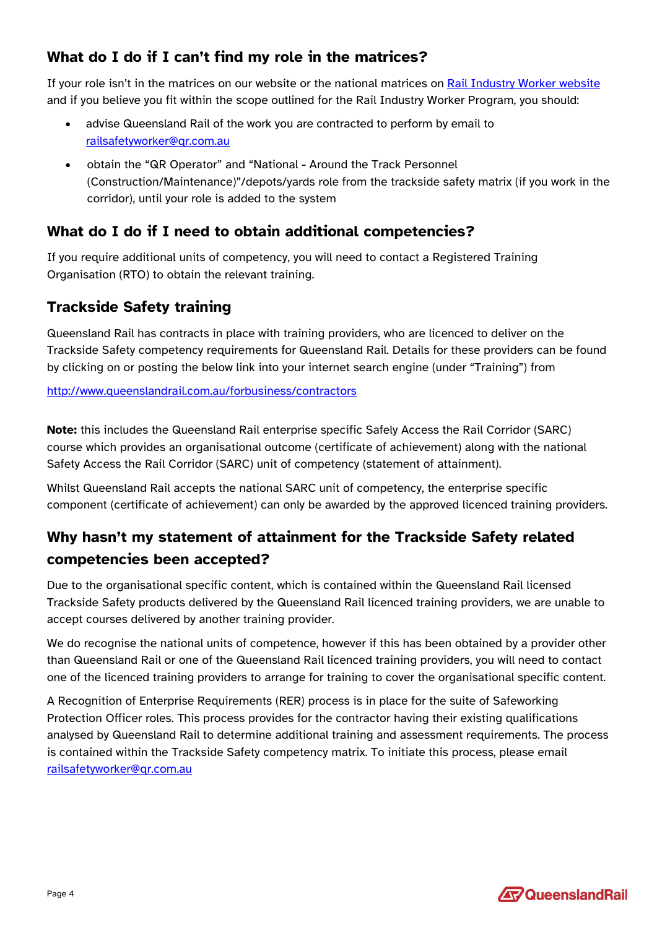### <span id="page-3-0"></span>**What do I do if I can't find my role in the matrices?**

If your role isn't in the matrices on our website or the national matrices on [Rail Industry Worker](https://www.riw.net.au/) website and if you believe you fit within the scope outlined for the Rail Industry Worker Program, you should:

- advise Queensland Rail of the work you are contracted to perform by email to [railsafetyworker@qr.com.au](mailto:railsafetyworker@qr.com.au)
- obtain the "QR Operator" and "National Around the Track Personnel (Construction/Maintenance)"/depots/yards role from the trackside safety matrix (if you work in the corridor), until your role is added to the system

#### <span id="page-3-1"></span>**What do I do if I need to obtain additional competencies?**

If you require additional units of competency, you will need to contact a Registered Training Organisation (RTO) to obtain the relevant training.

#### <span id="page-3-2"></span>**Trackside Safety training**

Queensland Rail has contracts in place with training providers, who are licenced to deliver on the Trackside Safety competency requirements for Queensland Rail. Details for these providers can be found by clicking on or posting the below link into your internet search engine (under "Training") from

#### <http://www.queenslandrail.com.au/forbusiness/contractors>

**Note:** this includes the Queensland Rail enterprise specific Safely Access the Rail Corridor (SARC) course which provides an organisational outcome (certificate of achievement) along with the national Safety Access the Rail Corridor (SARC) unit of competency (statement of attainment).

Whilst Queensland Rail accepts the national SARC unit of competency, the enterprise specific component (certificate of achievement) can only be awarded by the approved licenced training providers.

## <span id="page-3-3"></span>**Why hasn't my statement of attainment for the Trackside Safety related competencies been accepted?**

Due to the organisational specific content, which is contained within the Queensland Rail licensed Trackside Safety products delivered by the Queensland Rail licenced training providers, we are unable to accept courses delivered by another training provider.

We do recognise the national units of competence, however if this has been obtained by a provider other than Queensland Rail or one of the Queensland Rail licenced training providers, you will need to contact one of the licenced training providers to arrange for training to cover the organisational specific content.

A Recognition of Enterprise Requirements (RER) process is in place for the suite of Safeworking Protection Officer roles. This process provides for the contractor having their existing qualifications analysed by Queensland Rail to determine additional training and assessment requirements. The process is contained within the Trackside Safety competency matrix. To initiate this process, please email [railsafetyworker@qr.com.au](mailto:railsafetyworker@qr.com.au)

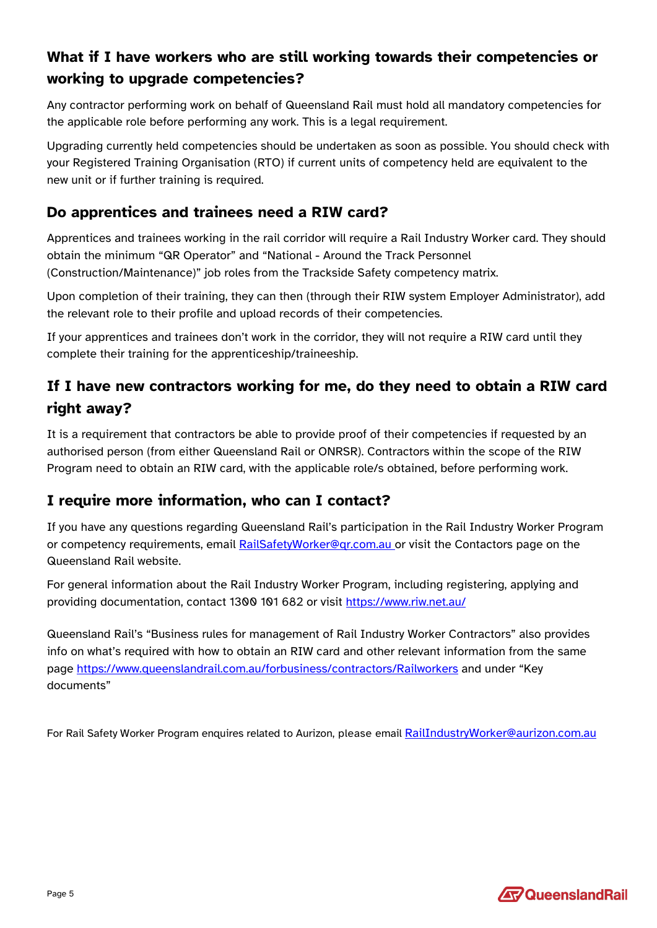## <span id="page-4-0"></span>**What if I have workers who are still working towards their competencies or working to upgrade competencies?**

Any contractor performing work on behalf of Queensland Rail must hold all mandatory competencies for the applicable role before performing any work. This is a legal requirement.

Upgrading currently held competencies should be undertaken as soon as possible. You should check with your Registered Training Organisation (RTO) if current units of competency held are equivalent to the new unit or if further training is required.

#### <span id="page-4-1"></span>**Do apprentices and trainees need a RIW card?**

Apprentices and trainees working in the rail corridor will require a Rail Industry Worker card. They should obtain the minimum "QR Operator" and "National - Around the Track Personnel (Construction/Maintenance)" job roles from the Trackside Safety competency matrix.

Upon completion of their training, they can then (through their RIW system Employer Administrator), add the relevant role to their profile and upload records of their competencies.

If your apprentices and trainees don't work in the corridor, they will not require a RIW card until they complete their training for the apprenticeship/traineeship.

## <span id="page-4-2"></span>**If I have new contractors working for me, do they need to obtain a RIW card right away?**

It is a requirement that contractors be able to provide proof of their competencies if requested by an authorised person (from either Queensland Rail or ONRSR). Contractors within the scope of the RIW Program need to obtain an RIW card, with the applicable role/s obtained, before performing work.

#### <span id="page-4-3"></span>**I require more information, who can I contact?**

If you have any questions regarding Queensland Rail's participation in the Rail Industry Worker Program or competency requirements, email [RailSafetyWorker@qr.com.au o](mailto:RailSafetyWorker@qr.com.au)r visit the Contactors page on the Queensland Rail website.

For general information about the Rail Industry Worker Program, including registering, applying and providing documentation, contact [1300 101 682](tel:1300101682) or visit <https://www.riw.net.au/>

Queensland Rail's "Business rules for management of Rail Industry Worker Contractors" also provides info on what's required with how to obtain an RIW card and other relevant information from the same page<https://www.queenslandrail.com.au/forbusiness/contractors/Railworkers> and under "Key documents"

For Rail Safety Worker Program enquires related to Aurizon, please email [RailIndustryWorker@aurizon.com.au](mailto:RailIndustryWorker@aurizon.com.au)